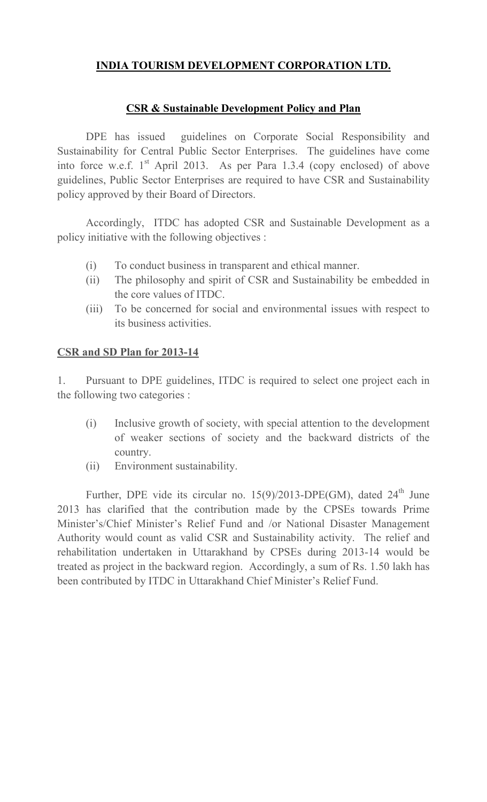#### **INDIA TOURISM DEVELOPMENT CORPORATION LTD.**

#### **CSR & Sustainable Development Policy and Plan**

 DPE has issued guidelines on Corporate Social Responsibility and Sustainability for Central Public Sector Enterprises. The guidelines have come into force w.e.f.  $1<sup>st</sup>$  April 2013. As per Para 1.3.4 (copy enclosed) of above guidelines, Public Sector Enterprises are required to have CSR and Sustainability policy approved by their Board of Directors.

 Accordingly, ITDC has adopted CSR and Sustainable Development as a policy initiative with the following objectives :

- (i) To conduct business in transparent and ethical manner.
- (ii) The philosophy and spirit of CSR and Sustainability be embedded in the core values of ITDC.
- (iii) To be concerned for social and environmental issues with respect to its business activities.

#### **CSR and SD Plan for 2013-14**

1. Pursuant to DPE guidelines, ITDC is required to select one project each in the following two categories :

- (i) Inclusive growth of society, with special attention to the development of weaker sections of society and the backward districts of the country.
- (ii) Environment sustainability.

Further, DPE vide its circular no.  $15(9)/2013$ -DPE(GM), dated  $24<sup>th</sup>$  June 2013 has clarified that the contribution made by the CPSEs towards Prime Minister's/Chief Minister's Relief Fund and /or National Disaster Management Authority would count as valid CSR and Sustainability activity. The relief and rehabilitation undertaken in Uttarakhand by CPSEs during 2013-14 would be treated as project in the backward region. Accordingly, a sum of Rs. 1.50 lakh has been contributed by ITDC in Uttarakhand Chief Minister's Relief Fund.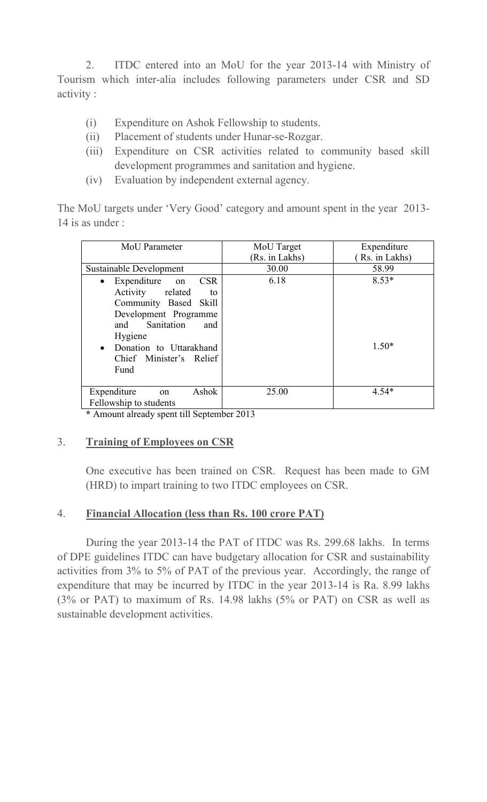2. ITDC entered into an MoU for the year 2013-14 with Ministry of Tourism which inter-alia includes following parameters under CSR and SD activity :

- (i) Expenditure on Ashok Fellowship to students.
- (ii) Placement of students under Hunar-se-Rozgar.
- (iii) Expenditure on CSR activities related to community based skill development programmes and sanitation and hygiene.
- (iv) Evaluation by independent external agency.

The MoU targets under 'Very Good' category and amount spent in the year 2013- 14 is as under :

| MoU Parameter                                                                                                                                                                                           | MoU Target     | Expenditure        |
|---------------------------------------------------------------------------------------------------------------------------------------------------------------------------------------------------------|----------------|--------------------|
|                                                                                                                                                                                                         | (Rs. in Lakhs) | Rs. in Lakhs)      |
| Sustainable Development                                                                                                                                                                                 | 30.00          | 58.99              |
| Expenditure on CSR<br>$\bullet$<br>Activity related<br>to<br>Community Based Skill<br>Development Programme<br>and Sanitation<br>and<br>Hygiene<br>• Donation to Uttarakhand<br>Chief Minister's Relief | 6.18           | $8.53*$<br>$1.50*$ |
| Fund                                                                                                                                                                                                    |                |                    |
| Ashok<br>Expenditure<br>on<br>Fellowship to students                                                                                                                                                    | 25.00          | $4.54*$            |

**\*** Amount already spent till September 2013

## 3. **Training of Employees on CSR**

One executive has been trained on CSR. Request has been made to GM (HRD) to impart training to two ITDC employees on CSR.

#### 4. **Financial Allocation (less than Rs. 100 crore PAT)**

During the year 2013-14 the PAT of ITDC was Rs. 299.68 lakhs. In terms of DPE guidelines ITDC can have budgetary allocation for CSR and sustainability activities from 3% to 5% of PAT of the previous year. Accordingly, the range of expenditure that may be incurred by ITDC in the year 2013-14 is Ra. 8.99 lakhs (3% or PAT) to maximum of Rs. 14.98 lakhs (5% or PAT) on CSR as well as sustainable development activities.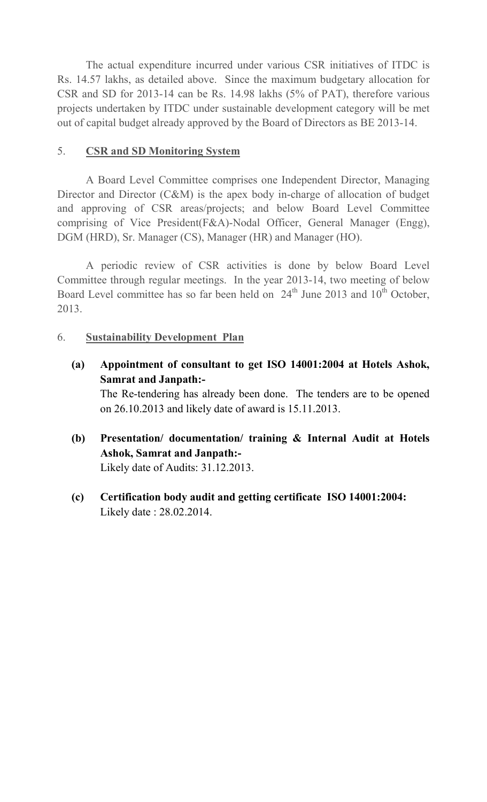The actual expenditure incurred under various CSR initiatives of ITDC is Rs. 14.57 lakhs, as detailed above. Since the maximum budgetary allocation for CSR and SD for 2013-14 can be Rs. 14.98 lakhs (5% of PAT), therefore various projects undertaken by ITDC under sustainable development category will be met out of capital budget already approved by the Board of Directors as BE 2013-14.

#### 5. **CSR and SD Monitoring System**

A Board Level Committee comprises one Independent Director, Managing Director and Director (C&M) is the apex body in-charge of allocation of budget and approving of CSR areas/projects; and below Board Level Committee comprising of Vice President(F&A)-Nodal Officer, General Manager (Engg), DGM (HRD), Sr. Manager (CS), Manager (HR) and Manager (HO).

A periodic review of CSR activities is done by below Board Level Committee through regular meetings. In the year 2013-14, two meeting of below Board Level committee has so far been held on  $24<sup>th</sup>$  June 2013 and  $10<sup>th</sup>$  October, 2013.

#### 6. **Sustainability Development Plan**

- **(a) Appointment of consultant to get ISO 14001:2004 at Hotels Ashok, Samrat and Janpath:-**  The Re-tendering has already been done. The tenders are to be opened on 26.10.2013 and likely date of award is 15.11.2013.
- **(b) Presentation/ documentation/ training & Internal Audit at Hotels Ashok, Samrat and Janpath:-**  Likely date of Audits: 31.12.2013.
- **(c) Certification body audit and getting certificate ISO 14001:2004:** Likely date : 28.02.2014.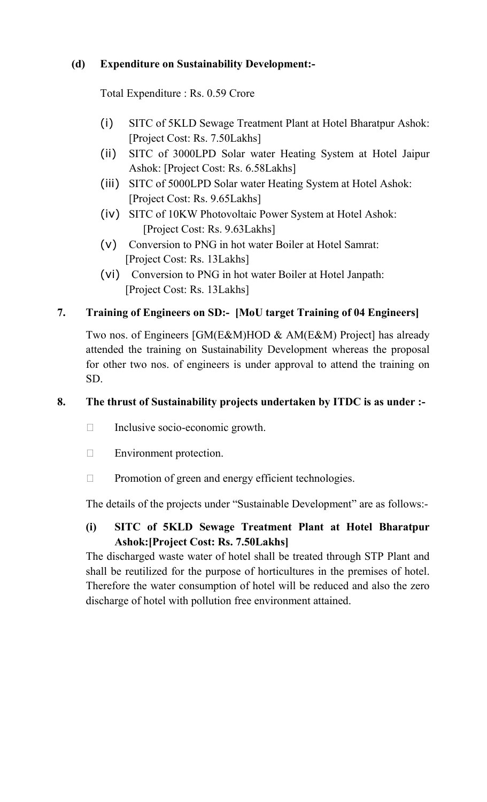# **(d) Expenditure on Sustainability Development:-**

Total Expenditure : Rs. 0.59 Crore

- (i) SITC of 5KLD Sewage Treatment Plant at Hotel Bharatpur Ashok: [Project Cost: Rs. 7.50Lakhs]
- (ii) SITC of 3000LPD Solar water Heating System at Hotel Jaipur Ashok: [Project Cost: Rs. 6.58Lakhs]
- (iii) SITC of 5000LPD Solar water Heating System at Hotel Ashok: [Project Cost: Rs. 9.65Lakhs]
- (iv) SITC of 10KW Photovoltaic Power System at Hotel Ashok: [Project Cost: Rs. 9.63Lakhs]
- (v) Conversion to PNG in hot water Boiler at Hotel Samrat: [Project Cost: Rs. 13Lakhs]
- (vi) Conversion to PNG in hot water Boiler at Hotel Janpath: [Project Cost: Rs. 13Lakhs]

# **7. Training of Engineers on SD:- [MoU target Training of 04 Engineers]**

Two nos. of Engineers [GM(E&M)HOD & AM(E&M) Project] has already attended the training on Sustainability Development whereas the proposal for other two nos. of engineers is under approval to attend the training on SD.

## **8. The thrust of Sustainability projects undertaken by ITDC is as under :-**

- K Inclusive socio-economic growth.
- K Environment protection.
- K Promotion of green and energy efficient technologies.

The details of the projects under "Sustainable Development" are as follows:-

# **(i) SITC of 5KLD Sewage Treatment Plant at Hotel Bharatpur Ashok:[Project Cost: Rs. 7.50Lakhs]**

The discharged waste water of hotel shall be treated through STP Plant and shall be reutilized for the purpose of horticultures in the premises of hotel. Therefore the water consumption of hotel will be reduced and also the zero discharge of hotel with pollution free environment attained.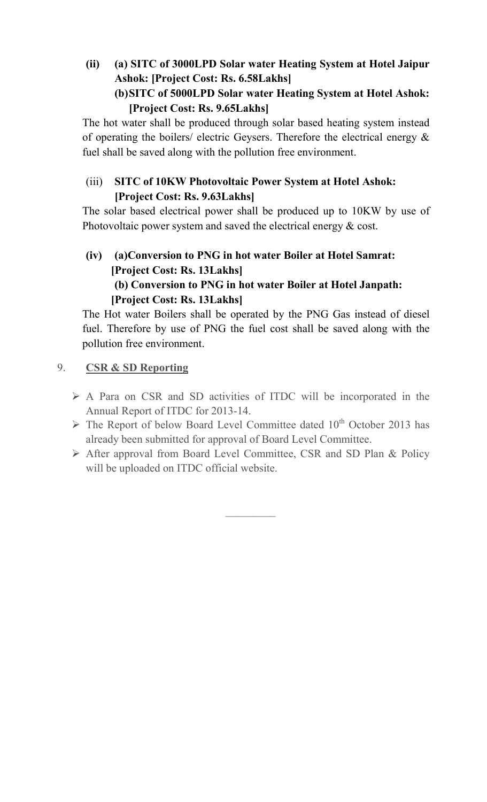# **(ii) (a) SITC of 3000LPD Solar water Heating System at Hotel Jaipur Ashok: [Project Cost: Rs. 6.58Lakhs] (b)SITC of 5000LPD Solar water Heating System at Hotel Ashok:**

# **[Project Cost: Rs. 9.65Lakhs]**

The hot water shall be produced through solar based heating system instead of operating the boilers/ electric Geysers. Therefore the electrical energy  $\&$ fuel shall be saved along with the pollution free environment.

# (iii) **SITC of 10KW Photovoltaic Power System at Hotel Ashok: [Project Cost: Rs. 9.63Lakhs]**

The solar based electrical power shall be produced up to 10KW by use of Photovoltaic power system and saved the electrical energy & cost.

# **(iv) (a)Conversion to PNG in hot water Boiler at Hotel Samrat: [Project Cost: Rs. 13Lakhs] (b) Conversion to PNG in hot water Boiler at Hotel Janpath: [Project Cost: Rs. 13Lakhs]**

The Hot water Boilers shall be operated by the PNG Gas instead of diesel fuel. Therefore by use of PNG the fuel cost shall be saved along with the pollution free environment.

- 9. **CSR & SD Reporting** 
	- A Para on CSR and SD activities of ITDC will be incorporated in the Annual Report of ITDC for 2013-14.
	- $\triangleright$  The Report of below Board Level Committee dated 10<sup>th</sup> October 2013 has already been submitted for approval of Board Level Committee.
	- $\triangleright$  After approval from Board Level Committee, CSR and SD Plan & Policy will be uploaded on ITDC official website.

*\_\_\_\_\_\_\_\_\_*